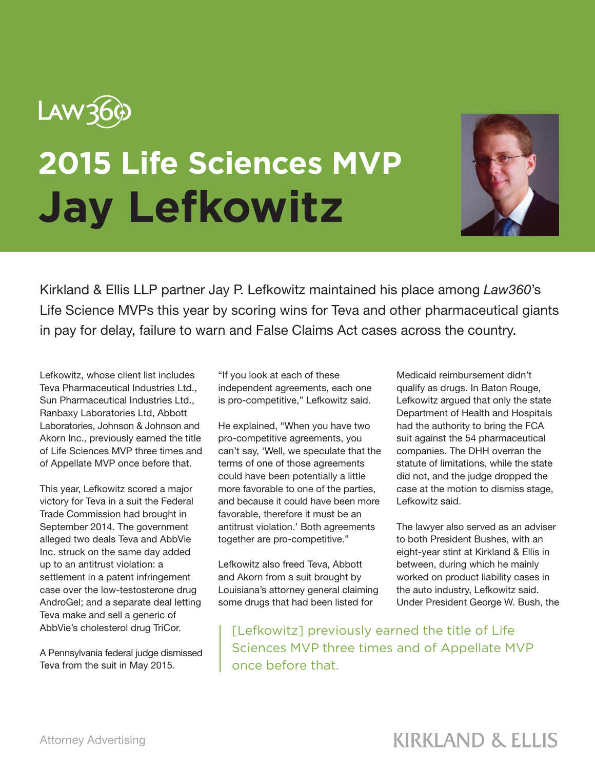

## **2015 Life Sciences MVP Jay Lefkowitz**



Kirkland & Ellis LLP partner Jay P. Lefkowitz maintained his place among *Law360*'s Life Science MVPs this year by scoring wins for Teva and other pharmaceutical giants in pay for delay, failure to warn and False Claims Act cases across the country.

Lefkowitz, whose client list includes Teva Pharmaceutical Industries Ltd., Sun Pharmaceutical Industries Ltd., Ranbaxy Laboratories Ltd, Abbott Laboratories, Johnson & Johnson and Akorn Inc., previously earned the title of Life Sciences MVP three times and of Appellate MVP once before that.

This year, Lefkowitz scored a major victory for Teva in a suit the Federal Trade Commission had brought in September 2014. The government alleged two deals Teva and AbbVie Inc. struck on the same day added up to an antitrust violation: a settlement in a patent infringement case over the low-testosterone drug AndroGel; and a separate deal letting Teva make and sell a generic of AbbVie's cholesterol drug TriCor.

A Pennsylvania federal judge dismissed Teva from the suit in May 2015.

"If you look at each of these independent agreements, each one is pro-competitive," Lefkowitz said.

He explained, "When you have two pro-competitive agreements, you can't say, 'Well, we speculate that the terms of one of those agreements could have been potentially a little more favorable to one of the parties, and because it could have been more favorable, therefore it must be an antitrust violation.' Both agreements together are pro-competitive."

Lefkowitz also freed Teva, Abbott and Akorn from a suit brought by Louisiana's attorney general claiming some drugs that had been listed for

Medicaid reimbursement didn't qualify as drugs. In Baton Rouge, Lefkowitz argued that only the state Department of Health and Hospitals had the authority to bring the FCA suit against the 54 pharmaceutical companies. The DHH overran the statute of limitations, while the state did not, and the judge dropped the case at the motion to dismiss stage, Lefkowitz said.

The lawyer also served as an adviser to both President Bushes, with an eight-year stint at Kirkland & Ellis in between, during which he mainly worked on product liability cases in the auto industry, Lefkowitz said. Under President George W. Bush, the

[Lefkowitz] previously earned the title of Life Sciences MVP three times and of Appellate MVP once before that.